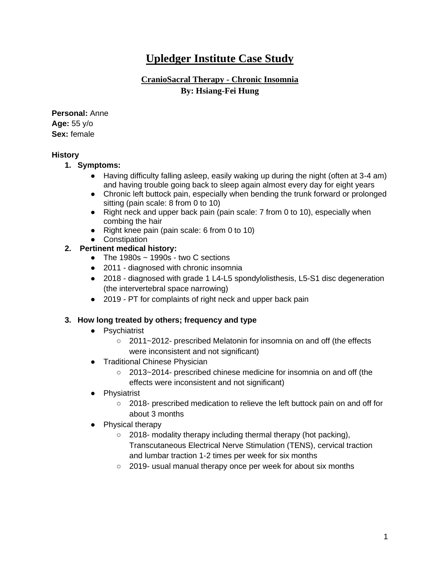# **Upledger Institute Case Study**

## **CranioSacral Therapy - Chronic Insomnia By: Hsiang-Fei Hung**

**Personal:** Anne **Age:** 55 y/o **Sex:** female

#### **History**

- **1. Symptoms:** 
	- Having difficulty falling asleep, easily waking up during the night (often at 3-4 am) and having trouble going back to sleep again almost every day for eight years
	- Chronic left buttock pain, especially when bending the trunk forward or prolonged sitting (pain scale: 8 from 0 to 10)
	- Right neck and upper back pain (pain scale: 7 from 0 to 10), especially when combing the hair
	- Right knee pain (pain scale: 6 from 0 to 10)
	- Constipation

### **2. Pertinent medical history:**

- The 1980s  $\sim$  1990s two C sections
- 2011 diagnosed with chronic insomnia
- 2018 diagnosed with grade 1 L4-L5 spondylolisthesis, L5-S1 disc degeneration (the intervertebral space narrowing)
- 2019 PT for complaints of right neck and upper back pain

### **3. How long treated by others; frequency and type**

- Psychiatrist
	- 2011~2012- prescribed Melatonin for insomnia on and off (the effects were inconsistent and not significant)
- Traditional Chinese Physician
	- 2013~2014- prescribed chinese medicine for insomnia on and off (the effects were inconsistent and not significant)
- Physiatrist
	- 2018- prescribed medication to relieve the left buttock pain on and off for about 3 months
- Physical therapy
	- 2018- modality therapy including thermal therapy (hot packing), Transcutaneous Electrical Nerve Stimulation (TENS), cervical traction and lumbar traction 1-2 times per week for six months
	- 2019- usual manual therapy once per week for about six months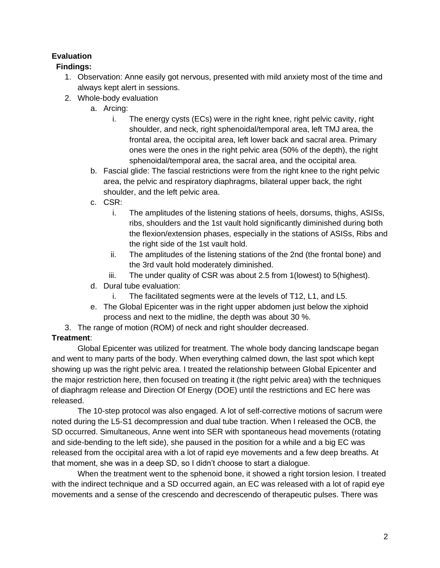# **Evaluation**

### **Findings:**

- 1. Observation: Anne easily got nervous, presented with mild anxiety most of the time and always kept alert in sessions.
- 2. Whole-body evaluation
	- a. Arcing:
		- i. The energy cysts (ECs) were in the right knee, right pelvic cavity, right shoulder, and neck, right sphenoidal/temporal area, left TMJ area, the frontal area, the occipital area, left lower back and sacral area. Primary ones were the ones in the right pelvic area (50% of the depth), the right sphenoidal/temporal area, the sacral area, and the occipital area.
	- b. Fascial glide: The fascial restrictions were from the right knee to the right pelvic area, the pelvic and respiratory diaphragms, bilateral upper back, the right shoulder, and the left pelvic area.
	- c. CSR:
		- i. The amplitudes of the listening stations of heels, dorsums, thighs, ASISs, ribs, shoulders and the 1st vault hold significantly diminished during both the flexion/extension phases, especially in the stations of ASISs, Ribs and the right side of the 1st vault hold.
		- ii. The amplitudes of the listening stations of the 2nd (the frontal bone) and the 3rd vault hold moderately diminished.
		- iii. The under quality of CSR was about 2.5 from 1(lowest) to 5(highest).
	- d. Dural tube evaluation:
		- i. The facilitated segments were at the levels of T12, L1, and L5.
	- e. The Global Epicenter was in the right upper abdomen just below the xiphoid process and next to the midline, the depth was about 30 %.
- 3. The range of motion (ROM) of neck and right shoulder decreased.

### **Treatment**:

Global Epicenter was utilized for treatment. The whole body dancing landscape began and went to many parts of the body. When everything calmed down, the last spot which kept showing up was the right pelvic area. I treated the relationship between Global Epicenter and the major restriction here, then focused on treating it (the right pelvic area) with the techniques of diaphragm release and Direction Of Energy (DOE) until the restrictions and EC here was released.

The 10-step protocol was also engaged. A lot of self-corrective motions of sacrum were noted during the L5-S1 decompression and dual tube traction. When I released the OCB, the SD occurred. Simultaneous, Anne went into SER with spontaneous head movements (rotating and side-bending to the left side), she paused in the position for a while and a big EC was released from the occipital area with a lot of rapid eye movements and a few deep breaths. At that moment, she was in a deep SD, so I didn't choose to start a dialogue.

When the treatment went to the sphenoid bone, it showed a right torsion lesion. I treated with the indirect technique and a SD occurred again, an EC was released with a lot of rapid eye movements and a sense of the crescendo and decrescendo of therapeutic pulses. There was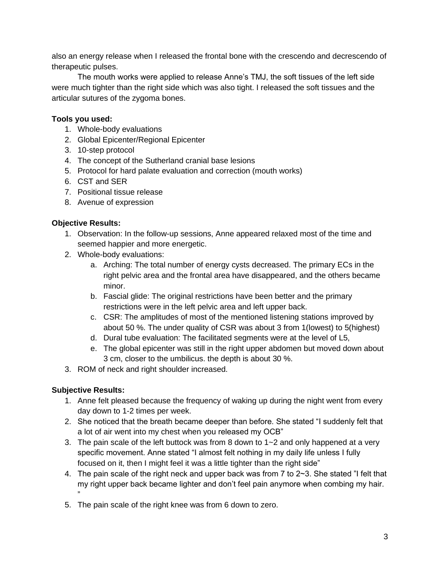also an energy release when I released the frontal bone with the crescendo and decrescendo of therapeutic pulses.

The mouth works were applied to release Anne's TMJ, the soft tissues of the left side were much tighter than the right side which was also tight. I released the soft tissues and the articular sutures of the zygoma bones.

#### **Tools you used:**

- 1. Whole-body evaluations
- 2. Global Epicenter/Regional Epicenter
- 3. 10-step protocol
- 4. The concept of the Sutherland cranial base lesions
- 5. Protocol for hard palate evaluation and correction (mouth works)
- 6. CST and SER
- 7. Positional tissue release
- 8. Avenue of expression

#### **Objective Results:**

- 1. Observation: In the follow-up sessions, Anne appeared relaxed most of the time and seemed happier and more energetic.
- 2. Whole-body evaluations:
	- a. Arching: The total number of energy cysts decreased. The primary ECs in the right pelvic area and the frontal area have disappeared, and the others became minor.
	- b. Fascial glide: The original restrictions have been better and the primary restrictions were in the left pelvic area and left upper back.
	- c. CSR: The amplitudes of most of the mentioned listening stations improved by about 50 %. The under quality of CSR was about 3 from 1(lowest) to 5(highest)
	- d. Dural tube evaluation: The facilitated segments were at the level of L5,
	- e. The global epicenter was still in the right upper abdomen but moved down about 3 cm, closer to the umbilicus. the depth is about 30 %.
- 3. ROM of neck and right shoulder increased.

### **Subjective Results:**

- 1. Anne felt pleased because the frequency of waking up during the night went from every day down to 1-2 times per week.
- 2. She noticed that the breath became deeper than before. She stated "I suddenly felt that a lot of air went into my chest when you released my OCB"
- 3. The pain scale of the left buttock was from 8 down to  $1 2$  and only happened at a very specific movement. Anne stated "I almost felt nothing in my daily life unless I fully focused on it, then I might feel it was a little tighter than the right side"
- 4. The pain scale of the right neck and upper back was from 7 to 2~3. She stated "I felt that my right upper back became lighter and don't feel pain anymore when combing my hair. "
- 5. The pain scale of the right knee was from 6 down to zero.